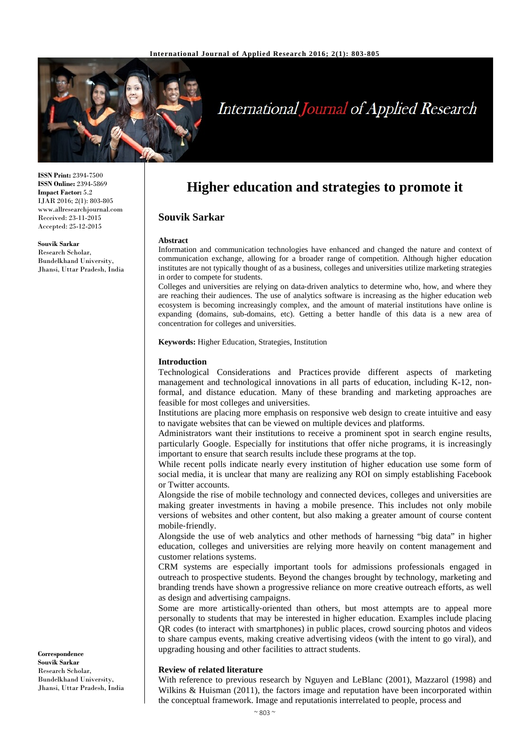

# **International Journal of Applied Research**

**ISSN Print:** 2394-7500 **ISSN Online:** 2394-5869 **Impact Factor:** 5.2 IJAR 2016; 2(1): 803-805 www.allresearchjournal.com Received: 23-11-2015 Accepted: 25-12-2015

#### **Souvik Sarkar**

Research Scholar, Bundelkhand University, Jhansi, Uttar Pradesh, India

# **Higher education and strategies to promote it**

## **Souvik Sarkar**

#### **Abstract**

Information and communication technologies have enhanced and changed the nature and context of communication exchange, allowing for a broader range of competition. Although higher education institutes are not typically thought of as a business, colleges and universities utilize marketing strategies in order to compete for students.

Colleges and universities are relying on data‐driven analytics to determine who, how, and where they are reaching their audiences. The use of analytics software is increasing as the higher education web ecosystem is becoming increasingly complex, and the amount of material institutions have online is expanding (domains, sub-domains, etc). Getting a better handle of this data is a new area of concentration for colleges and universities.

**Keywords:** Higher Education, Strategies, Institution

#### **Introduction**

Technological Considerations and Practices provide different aspects of marketing management and technological innovations in all parts of education, including K-12, nonformal, and distance education. Many of these branding and marketing approaches are feasible for most colleges and universities.

Institutions are placing more emphasis on responsive web design to create intuitive and easy to navigate websites that can be viewed on multiple devices and platforms.

Administrators want their institutions to receive a prominent spot in search engine results, particularly Google. Especially for institutions that offer niche programs, it is increasingly important to ensure that search results include these programs at the top.

While recent polls indicate nearly every institution of higher education use some form of social media, it is unclear that many are realizing any ROI on simply establishing Facebook or Twitter accounts.

Alongside the rise of mobile technology and connected devices, colleges and universities are making greater investments in having a mobile presence. This includes not only mobile versions of websites and other content, but also making a greater amount of course content mobile‐friendly.

Alongside the use of web analytics and other methods of harnessing "big data" in higher education, colleges and universities are relying more heavily on content management and customer relations systems.

CRM systems are especially important tools for admissions professionals engaged in outreach to prospective students. Beyond the changes brought by technology, marketing and branding trends have shown a progressive reliance on more creative outreach efforts, as well as design and advertising campaigns.

Some are more artistically-oriented than others, but most attempts are to appeal more personally to students that may be interested in higher education. Examples include placing QR codes (to interact with smartphones) in public places, crowd sourcing photos and videos to share campus events, making creative advertising videos (with the intent to go viral), and upgrading housing and other facilities to attract students.

#### **Review of related literature**

With reference to previous research by Nguyen and LeBlanc (2001), Mazzarol (1998) and Wilkins & Huisman (2011), the factors image and reputation have been incorporated within the conceptual framework. Image and reputationis interrelated to people, process and

**Correspondence Souvik Sarkar** Research Scholar, Bundelkhand University, Jhansi, Uttar Pradesh, India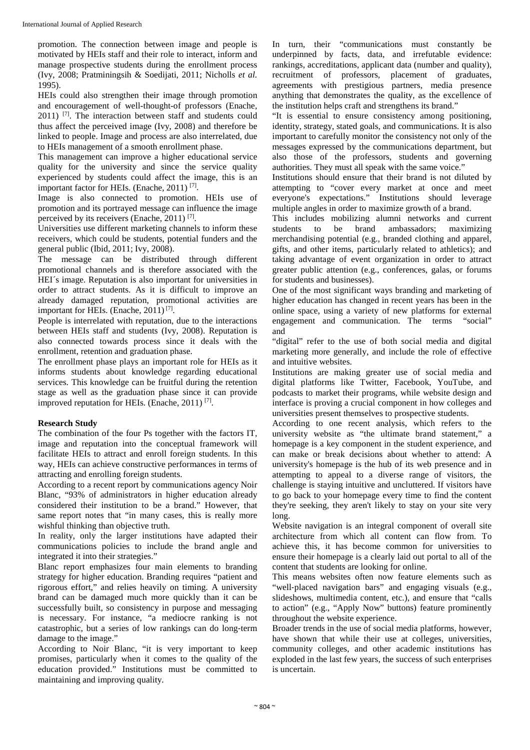promotion. The connection between image and people is motivated by HEIs staff and their role to interact, inform and manage prospective students during the enrollment process (Ivy, 2008; Pratminingsih & Soedijati, 2011; Nicholls *et al.* 1995).

HEIs could also strengthen their image through promotion and encouragement of well-thought-of professors (Enache, 2011) <sup>[7]</sup>. The interaction between staff and students could thus affect the perceived image (Ivy, 2008) and therefore be linked to people. Image and process are also interrelated, due to HEIs management of a smooth enrollment phase.

This management can improve a higher educational service quality for the university and since the service quality experienced by students could affect the image, this is an important factor for HEIs. (Enache, 2011) [7].

Image is also connected to promotion. HEIs use of promotion and its portrayed message can influence the image perceived by its receivers (Enache, 2011) [7].

Universities use different marketing channels to inform these receivers, which could be students, potential funders and the general public (Ibid, 2011; Ivy, 2008).

The message can be distributed through different promotional channels and is therefore associated with the HEI´s image. Reputation is also important for universities in order to attract students. As it is difficult to improve an already damaged reputation, promotional activities are important for HEIs. (Enache,  $2011$ )<sup>[7]</sup>.

People is interrelated with reputation, due to the interactions between HEIs staff and students (Ivy, 2008). Reputation is also connected towards process since it deals with the enrollment, retention and graduation phase.

The enrollment phase plays an important role for HEIs as it informs students about knowledge regarding educational services. This knowledge can be fruitful during the retention stage as well as the graduation phase since it can provide improved reputation for HEIs. (Enache, 2011)<sup>[7]</sup>.

# **Research Study**

The combination of the four Ps together with the factors IT, image and reputation into the conceptual framework will facilitate HEIs to attract and enroll foreign students. In this way, HEIs can achieve constructive performances in terms of attracting and enrolling foreign students.

According to a recent report by communications agency Noir Blanc, "93% of administrators in higher education already considered their institution to be a brand." However, that same report notes that "in many cases, this is really more wishful thinking than objective truth.

In reality, only the larger institutions have adapted their communications policies to include the brand angle and integrated it into their strategies."

Blanc report emphasizes four main elements to branding strategy for higher education. Branding requires "patient and rigorous effort," and relies heavily on timing. A university brand can be damaged much more quickly than it can be successfully built, so consistency in purpose and messaging is necessary. For instance, "a mediocre ranking is not catastrophic, but a series of low rankings can do long‐term damage to the image."

According to Noir Blanc, "it is very important to keep promises, particularly when it comes to the quality of the education provided." Institutions must be committed to maintaining and improving quality.

In turn, their "communications must constantly be underpinned by facts, data, and irrefutable evidence: rankings, accreditations, applicant data (number and quality), recruitment of professors, placement of graduates, agreements with prestigious partners, media presence anything that demonstrates the quality, as the excellence of the institution helps craft and strengthens its brand."

"It is essential to ensure consistency among positioning, identity, strategy, stated goals, and communications. It is also important to carefully monitor the consistency not only of the messages expressed by the communications department, but also those of the professors, students and governing authorities. They must all speak with the same voice."

Institutions should ensure that their brand is not diluted by attempting to "cover every market at once and meet everyone's expectations." Institutions should leverage multiple angles in order to maximize growth of a brand.

This includes mobilizing alumni networks and current students to be brand ambassadors; maximizing merchandising potential (e.g., branded clothing and apparel, gifts, and other items, particularly related to athletics); and taking advantage of event organization in order to attract greater public attention (e.g., conferences, galas, or forums for students and businesses).

One of the most significant ways branding and marketing of higher education has changed in recent years has been in the online space, using a variety of new platforms for external engagement and communication. The terms "social" and

"digital" refer to the use of both social media and digital marketing more generally, and include the role of effective and intuitive websites.

Institutions are making greater use of social media and digital platforms like Twitter, Facebook, YouTube, and podcasts to market their programs, while website design and interface is proving a crucial component in how colleges and universities present themselves to prospective students.

According to one recent analysis, which refers to the university website as "the ultimate brand statement," a homepage is a key component in the student experience, and can make or break decisions about whether to attend: A university's homepage is the hub of its web presence and in attempting to appeal to a diverse range of visitors, the challenge is staying intuitive and uncluttered. If visitors have to go back to your homepage every time to find the content they're seeking, they aren't likely to stay on your site very long.

Website navigation is an integral component of overall site architecture from which all content can flow from. To achieve this, it has become common for universities to ensure their homepage is a clearly laid out portal to all of the content that students are looking for online.

This means websites often now feature elements such as "well‐placed navigation bars" and engaging visuals (e.g., slideshows, multimedia content, etc.), and ensure that "calls to action" (e.g., "Apply Now" buttons) feature prominently throughout the website experience.

Broader trends in the use of social media platforms, however, have shown that while their use at colleges, universities, community colleges, and other academic institutions has exploded in the last few years, the success of such enterprises is uncertain.